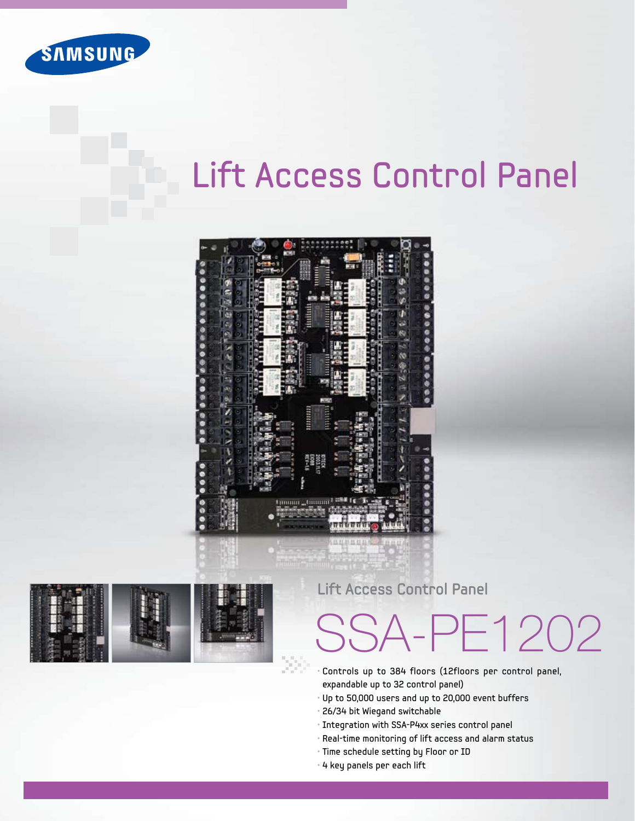

## Lift Access Control Panel





### **Lift Access Control Panel**

# SSA-PE1202

- Controls up to 384 floors (12floors per control panel, expandable up to 32 control panel)
- Up to 50,000 users and up to 20,000 event buffers
- 26/34 bit Wiegand switchable
- Integration with SSA-P4xx series control panel
- Real-time monitoring of lift access and alarm status
- Time schedule setting by Floor or ID
- 4 key panels per each lift